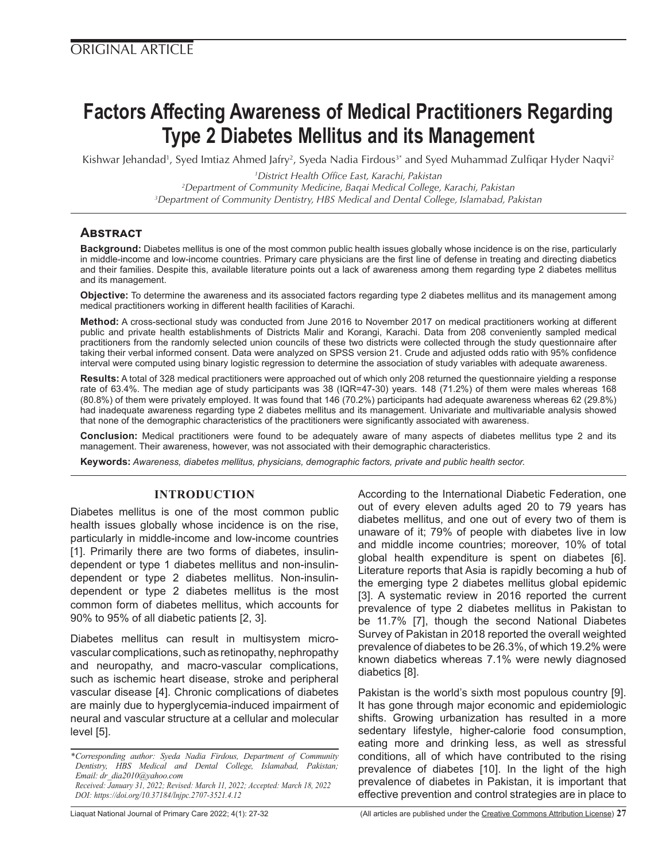# **Factors Affecting Awareness of Medical Practitioners Regarding Type 2 Diabetes Mellitus and its Management**

Kishwar Jehandad<sup>1</sup>, Syed Imtiaz Ahmed Jafry<sup>2</sup>, Syeda Nadia Firdous<sup>3\*</sup> and Syed Muhammad Zulfiqar Hyder Naqvi<sup>2</sup>

*1 District Health Office East, Karachi, Pakistan 2 Department of Community Medicine, Baqai Medical College, Karachi, Pakistan 3 Department of Community Dentistry, HBS Medical and Dental College, Islamabad, Pakistan*

# **Abstract**

**Background:** Diabetes mellitus is one of the most common public health issues globally whose incidence is on the rise, particularly in middle-income and low-income countries. Primary care physicians are the first line of defense in treating and directing diabetics and their families. Despite this, available literature points out a lack of awareness among them regarding type 2 diabetes mellitus and its management.

**Objective:** To determine the awareness and its associated factors regarding type 2 diabetes mellitus and its management among medical practitioners working in different health facilities of Karachi.

**Method:** A cross-sectional study was conducted from June 2016 to November 2017 on medical practitioners working at different public and private health establishments of Districts Malir and Korangi, Karachi. Data from 208 conveniently sampled medical practitioners from the randomly selected union councils of these two districts were collected through the study questionnaire after taking their verbal informed consent. Data were analyzed on SPSS version 21. Crude and adjusted odds ratio with 95% confidence interval were computed using binary logistic regression to determine the association of study variables with adequate awareness.

**Results:** A total of 328 medical practitioners were approached out of which only 208 returned the questionnaire yielding a response rate of 63.4%. The median age of study participants was 38 (IQR=47-30) years. 148 (71.2%) of them were males whereas 168 (80.8%) of them were privately employed. It was found that 146 (70.2%) participants had adequate awareness whereas 62 (29.8%) had inadequate awareness regarding type 2 diabetes mellitus and its management. Univariate and multivariable analysis showed that none of the demographic characteristics of the practitioners were significantly associated with awareness.

**Conclusion:** Medical practitioners were found to be adequately aware of many aspects of diabetes mellitus type 2 and its management. Their awareness, however, was not associated with their demographic characteristics.

**Keywords:** *Awareness, diabetes mellitus, physicians, demographic factors, private and public health sector.*

# **INTRODUCTION**

Diabetes mellitus is one of the most common public health issues globally whose incidence is on the rise, particularly in middle-income and low-income countries [1]. Primarily there are two forms of diabetes, insulindependent or type 1 diabetes mellitus and non-insulindependent or type 2 diabetes mellitus. Non-insulindependent or type 2 diabetes mellitus is the most common form of diabetes mellitus, which accounts for 90% to 95% of all diabetic patients [2, 3].

Diabetes mellitus can result in multisystem microvascular complications, such as retinopathy, nephropathy and neuropathy, and macro-vascular complications, such as ischemic heart disease, stroke and peripheral vascular disease [4]. Chronic complications of diabetes are mainly due to hyperglycemia-induced impairment of neural and vascular structure at a cellular and molecular level [5].

According to the International Diabetic Federation, one out of every eleven adults aged 20 to 79 years has diabetes mellitus, and one out of every two of them is unaware of it; 79% of people with diabetes live in low and middle income countries; moreover, 10% of total global health expenditure is spent on diabetes [6]. Literature reports that Asia is rapidly becoming a hub of the emerging type 2 diabetes mellitus global epidemic [3]. A systematic review in 2016 reported the current prevalence of type 2 diabetes mellitus in Pakistan to be 11.7% [7], though the second National Diabetes Survey of Pakistan in 2018 reported the overall weighted prevalence of diabetes to be 26.3%, of which 19.2% were known diabetics whereas 7.1% were newly diagnosed diabetics [8].

Pakistan is the world's sixth most populous country [9]. It has gone through major economic and epidemiologic shifts. Growing urbanization has resulted in a more sedentary lifestyle, higher-calorie food consumption, eating more and drinking less, as well as stressful conditions, all of which have contributed to the rising prevalence of diabetes [10]. In the light of the high prevalence of diabetes in Pakistan, it is important that effective prevention and control strategies are in place to

Liaquat National Journal of Primary Care 2022; 4(1): 27-32 (All articles are published under the [Creative Commons Attribution License](https://creativecommons.org/licenses/by/4.0/)) **27**

*<sup>\*</sup>Corresponding author: Syeda Nadia Firdous, Department of Community Dentistry, HBS Medical and Dental College, Islamabad, Pakistan; Email: dr\_dia2010@yahoo.com Received: January 31, 2022; Revised: March 11, 2022; Accepted: March 18, 2022*

*DOI: https://doi.org/10.37184/lnjpc.2707-3521.4.12*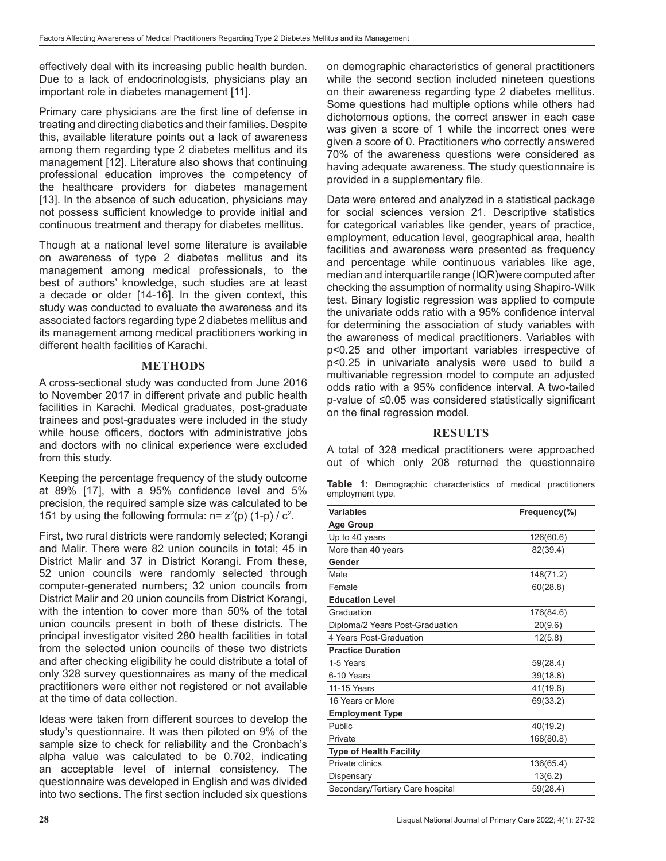effectively deal with its increasing public health burden. Due to a lack of endocrinologists, physicians play an important role in diabetes management [11].

Primary care physicians are the first line of defense in treating and directing diabetics and their families. Despite this, available literature points out a lack of awareness among them regarding type 2 diabetes mellitus and its management [12]. Literature also shows that continuing professional education improves the competency of the healthcare providers for diabetes management [13]. In the absence of such education, physicians may not possess sufficient knowledge to provide initial and continuous treatment and therapy for diabetes mellitus.

Though at a national level some literature is available on awareness of type 2 diabetes mellitus and its management among medical professionals, to the best of authors' knowledge, such studies are at least a decade or older [14-16]. In the given context, this study was conducted to evaluate the awareness and its associated factors regarding type 2 diabetes mellitus and its management among medical practitioners working in different health facilities of Karachi.

#### **METHODS**

A cross-sectional study was conducted from June 2016 to November 2017 in different private and public health facilities in Karachi. Medical graduates, post-graduate trainees and post-graduates were included in the study while house officers, doctors with administrative jobs and doctors with no clinical experience were excluded from this study.

Keeping the percentage frequency of the study outcome at 89% [17], with a 95% confidence level and 5% precision, the required sample size was calculated to be 151 by using the following formula:  $n = z^2(p)$  (1-p) /  $c^2$ .

First, two rural districts were randomly selected; Korangi and Malir. There were 82 union councils in total; 45 in District Malir and 37 in District Korangi. From these, 52 union councils were randomly selected through computer-generated numbers; 32 union councils from District Malir and 20 union councils from District Korangi, with the intention to cover more than 50% of the total union councils present in both of these districts. The principal investigator visited 280 health facilities in total from the selected union councils of these two districts and after checking eligibility he could distribute a total of only 328 survey questionnaires as many of the medical practitioners were either not registered or not available at the time of data collection.

Ideas were taken from different sources to develop the study's questionnaire. It was then piloted on 9% of the sample size to check for reliability and the Cronbach's alpha value was calculated to be 0.702, indicating an acceptable level of internal consistency. The questionnaire was developed in English and was divided into two sections. The first section included six questions

on demographic characteristics of general practitioners while the second section included nineteen questions on their awareness regarding type 2 diabetes mellitus. Some questions had multiple options while others had dichotomous options, the correct answer in each case was given a score of 1 while the incorrect ones were given a score of 0. Practitioners who correctly answered 70% of the awareness questions were considered as having adequate awareness. The study questionnaire is provided in a supplementary file.

Data were entered and analyzed in a statistical package for social sciences version 21. Descriptive statistics for categorical variables like gender, years of practice, employment, education level, geographical area, health facilities and awareness were presented as frequency and percentage while continuous variables like age, median and interquartile range (IQR)were computed after checking the assumption of normality using Shapiro-Wilk test. Binary logistic regression was applied to compute the univariate odds ratio with a 95% confidence interval for determining the association of study variables with the awareness of medical practitioners. Variables with p<0.25 and other important variables irrespective of p<0.25 in univariate analysis were used to build a multivariable regression model to compute an adjusted odds ratio with a 95% confidence interval. A two-tailed p-value of ≤0.05 was considered statistically significant on the final regression model.

#### **RESULTS**

A total of 328 medical practitioners were approached out of which only 208 returned the questionnaire

|                  |  |  | Table 1: Demographic characteristics of medical practitioners |  |  |  |
|------------------|--|--|---------------------------------------------------------------|--|--|--|
| employment type. |  |  |                                                               |  |  |  |

| <b>Variables</b>                 | Frequency(%) |  |  |  |  |
|----------------------------------|--------------|--|--|--|--|
| <b>Age Group</b>                 |              |  |  |  |  |
| Up to 40 years                   | 126(60.6)    |  |  |  |  |
| More than 40 years               | 82(39.4)     |  |  |  |  |
| Gender                           |              |  |  |  |  |
| Male                             | 148(71.2)    |  |  |  |  |
| Female                           | 60(28.8)     |  |  |  |  |
| <b>Education Level</b>           |              |  |  |  |  |
| Graduation                       | 176(84.6)    |  |  |  |  |
| Diploma/2 Years Post-Graduation  | 20(9.6)      |  |  |  |  |
| 4 Years Post-Graduation          | 12(5.8)      |  |  |  |  |
| <b>Practice Duration</b>         |              |  |  |  |  |
| 1-5 Years                        | 59(28.4)     |  |  |  |  |
| 6-10 Years                       | 39(18.8)     |  |  |  |  |
| 11-15 Years                      | 41(19.6)     |  |  |  |  |
| 16 Years or More                 | 69(33.2)     |  |  |  |  |
| <b>Employment Type</b>           |              |  |  |  |  |
| Public                           | 40(19.2)     |  |  |  |  |
| Private                          | 168(80.8)    |  |  |  |  |
| <b>Type of Health Facility</b>   |              |  |  |  |  |
| Private clinics                  | 136(65.4)    |  |  |  |  |
| Dispensary                       | 13(6.2)      |  |  |  |  |
| Secondary/Tertiary Care hospital | 59(28.4)     |  |  |  |  |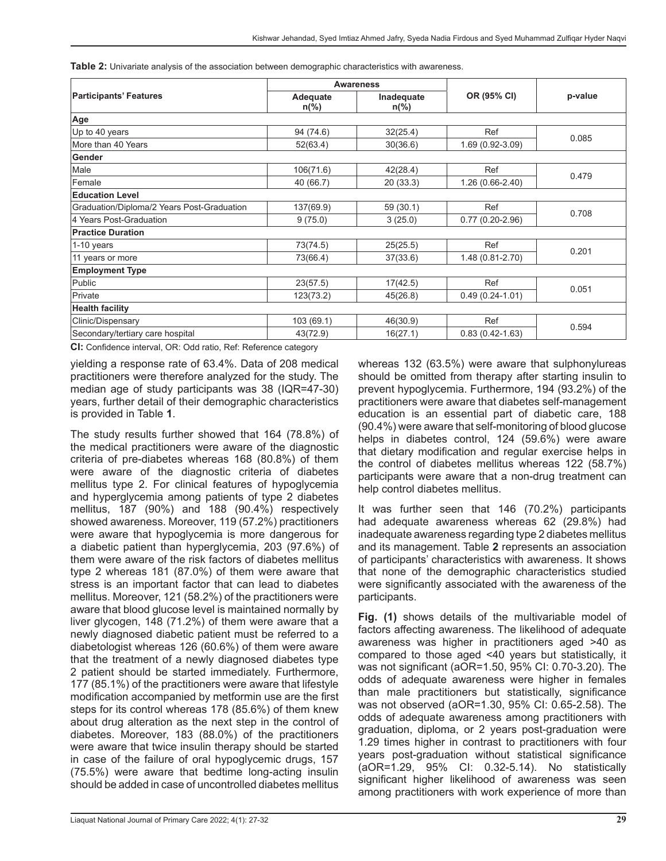| Table 2: Univariate analysis of the association between demographic characteristics with awareness. |  |
|-----------------------------------------------------------------------------------------------------|--|
|-----------------------------------------------------------------------------------------------------|--|

|                                            |                            | <b>Awareness</b>             |                     | p-value |  |
|--------------------------------------------|----------------------------|------------------------------|---------------------|---------|--|
| <b>Participants' Features</b>              | Adequate<br>$n\frac{6}{6}$ | Inadequate<br>$n\frac{6}{6}$ | OR (95% CI)         |         |  |
| Age                                        |                            |                              |                     |         |  |
| Up to 40 years                             | 94 (74.6)                  | 32(25.4)                     | Ref                 | 0.085   |  |
| More than 40 Years                         | 52(63.4)                   | 30(36.6)                     | 1.69 (0.92-3.09)    |         |  |
| Gender                                     |                            |                              |                     |         |  |
| Male                                       | 106(71.6)                  | 42(28.4)                     | Ref                 | 0.479   |  |
| Female                                     | 40 (66.7)                  | 20 (33.3)                    | 1.26 (0.66-2.40)    |         |  |
| <b>Education Level</b>                     |                            |                              |                     |         |  |
| Graduation/Diploma/2 Years Post-Graduation | 137(69.9)                  | 59 (30.1)                    | Ref                 | 0.708   |  |
| 4 Years Post-Graduation                    | 9(75.0)                    | 3(25.0)                      | $0.77(0.20-2.96)$   |         |  |
| <b>Practice Duration</b>                   |                            |                              |                     |         |  |
| 1-10 years                                 | 73(74.5)                   | 25(25.5)                     | Ref                 | 0.201   |  |
| 11 years or more                           | 73(66.4)                   | 37(33.6)                     | 1.48 (0.81-2.70)    |         |  |
| <b>Employment Type</b>                     |                            |                              |                     |         |  |
| Public                                     | 23(57.5)                   | 17(42.5)                     | Ref                 | 0.051   |  |
| Private                                    | 123(73.2)                  | 45(26.8)                     | $0.49(0.24 - 1.01)$ |         |  |
| <b>Health facility</b>                     |                            |                              |                     |         |  |
| Clinic/Dispensary                          | 103 (69.1)                 | 46(30.9)                     | Ref                 |         |  |
| Secondary/tertiary care hospital           | 43(72.9)                   | 16(27.1)                     | $0.83(0.42 - 1.63)$ | 0.594   |  |

**CI:** Confidence interval, OR: Odd ratio, Ref: Reference category

yielding a response rate of 63.4%. Data of 208 medical practitioners were therefore analyzed for the study. The median age of study participants was 38 (IQR=47-30) years, further detail of their demographic characteristics is provided in Table **1**.

The study results further showed that 164 (78.8%) of the medical practitioners were aware of the diagnostic criteria of pre-diabetes whereas 168 (80.8%) of them were aware of the diagnostic criteria of diabetes mellitus type 2. For clinical features of hypoglycemia and hyperglycemia among patients of type 2 diabetes mellitus, 187 (90%) and 188 (90.4%) respectively showed awareness. Moreover, 119 (57.2%) practitioners were aware that hypoglycemia is more dangerous for a diabetic patient than hyperglycemia, 203 (97.6%) of them were aware of the risk factors of diabetes mellitus type 2 whereas 181 (87.0%) of them were aware that stress is an important factor that can lead to diabetes mellitus. Moreover, 121 (58.2%) of the practitioners were aware that blood glucose level is maintained normally by liver glycogen, 148 (71.2%) of them were aware that a newly diagnosed diabetic patient must be referred to a diabetologist whereas 126 (60.6%) of them were aware that the treatment of a newly diagnosed diabetes type 2 patient should be started immediately. Furthermore, 177 (85.1%) of the practitioners were aware that lifestyle modification accompanied by metformin use are the first steps for its control whereas 178 (85.6%) of them knew about drug alteration as the next step in the control of diabetes. Moreover, 183 (88.0%) of the practitioners were aware that twice insulin therapy should be started in case of the failure of oral hypoglycemic drugs, 157 (75.5%) were aware that bedtime long-acting insulin should be added in case of uncontrolled diabetes mellitus

whereas 132 (63.5%) were aware that sulphonylureas should be omitted from therapy after starting insulin to prevent hypoglycemia. Furthermore, 194 (93.2%) of the practitioners were aware that diabetes self-management education is an essential part of diabetic care, 188 (90.4%) were aware that self-monitoring of blood glucose helps in diabetes control, 124 (59.6%) were aware that dietary modification and regular exercise helps in the control of diabetes mellitus whereas 122 (58.7%) participants were aware that a non-drug treatment can help control diabetes mellitus.

It was further seen that 146 (70.2%) participants had adequate awareness whereas 62 (29.8%) had inadequate awareness regarding type 2 diabetes mellitus and its management. Table **2** represents an association of participants' characteristics with awareness. It shows that none of the demographic characteristics studied were significantly associated with the awareness of the participants.

**Fig. (1)** shows details of the multivariable model of factors affecting awareness. The likelihood of adequate awareness was higher in practitioners aged >40 as compared to those aged <40 years but statistically, it was not significant (aOR=1.50, 95% CI: 0.70-3.20). The odds of adequate awareness were higher in females than male practitioners but statistically, significance was not observed (aOR=1.30, 95% CI: 0.65-2.58). The odds of adequate awareness among practitioners with graduation, diploma, or 2 years post-graduation were 1.29 times higher in contrast to practitioners with four years post-graduation without statistical significance (aOR=1.29, 95% CI: 0.32-5.14). No statistically significant higher likelihood of awareness was seen among practitioners with work experience of more than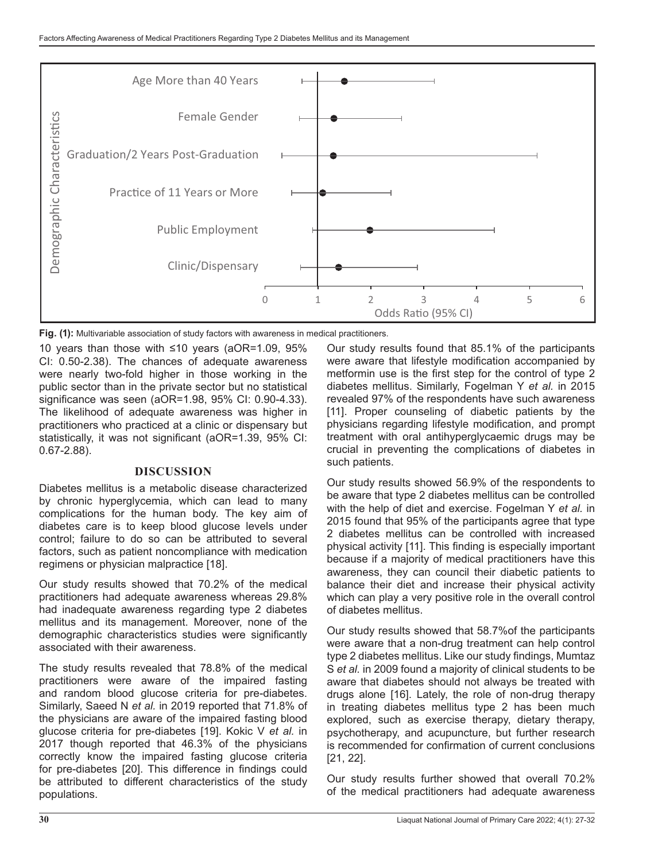

10 years than those with ≤10 years (aOR=1.09, 95% CI: 0.50-2.38). The chances of adequate awareness were nearly two-fold higher in those working in the public sector than in the private sector but no statistical significance was seen (aOR=1.98, 95% CI: 0.90-4.33). The likelihood of adequate awareness was higher in practitioners who practiced at a clinic or dispensary but statistically, it was not significant (aOR=1.39, 95% CI: 0.67-2.88).

## **DISCUSSION**

Diabetes mellitus is a metabolic disease characterized by chronic hyperglycemia, which can lead to many complications for the human body. The key aim of diabetes care is to keep blood glucose levels under control; failure to do so can be attributed to several factors, such as patient noncompliance with medication regimens or physician malpractice [18].

Our study results showed that 70.2% of the medical practitioners had adequate awareness whereas 29.8% had inadequate awareness regarding type 2 diabetes mellitus and its management. Moreover, none of the demographic characteristics studies were significantly associated with their awareness.

The study results revealed that 78.8% of the medical practitioners were aware of the impaired fasting and random blood glucose criteria for pre-diabetes. Similarly, Saeed N *et al.* in 2019 reported that 71.8% of the physicians are aware of the impaired fasting blood glucose criteria for pre-diabetes [19]. Kokic V *et al.* in 2017 though reported that 46.3% of the physicians correctly know the impaired fasting glucose criteria for pre-diabetes [20]. This difference in findings could be attributed to different characteristics of the study populations.

Our study results found that 85.1% of the participants were aware that lifestyle modification accompanied by metformin use is the first step for the control of type 2 diabetes mellitus. Similarly, Fogelman Y *et al.* in 2015 revealed 97% of the respondents have such awareness [11]. Proper counseling of diabetic patients by the physicians regarding lifestyle modification, and prompt treatment with oral antihyperglycaemic drugs may be crucial in preventing the complications of diabetes in such patients.

Our study results showed 56.9% of the respondents to be aware that type 2 diabetes mellitus can be controlled with the help of diet and exercise. Fogelman Y *et al.* in 2015 found that 95% of the participants agree that type 2 diabetes mellitus can be controlled with increased physical activity [11]. This finding is especially important because if a majority of medical practitioners have this awareness, they can council their diabetic patients to balance their diet and increase their physical activity which can play a very positive role in the overall control of diabetes mellitus.

Our study results showed that 58.7%of the participants were aware that a non-drug treatment can help control type 2 diabetes mellitus. Like our study findings, Mumtaz S *et al.* in 2009 found a majority of clinical students to be aware that diabetes should not always be treated with drugs alone [16]. Lately, the role of non-drug therapy in treating diabetes mellitus type 2 has been much explored, such as exercise therapy, dietary therapy, psychotherapy, and acupuncture, but further research is recommended for confirmation of current conclusions [21, 22].

Our study results further showed that overall 70.2% of the medical practitioners had adequate awareness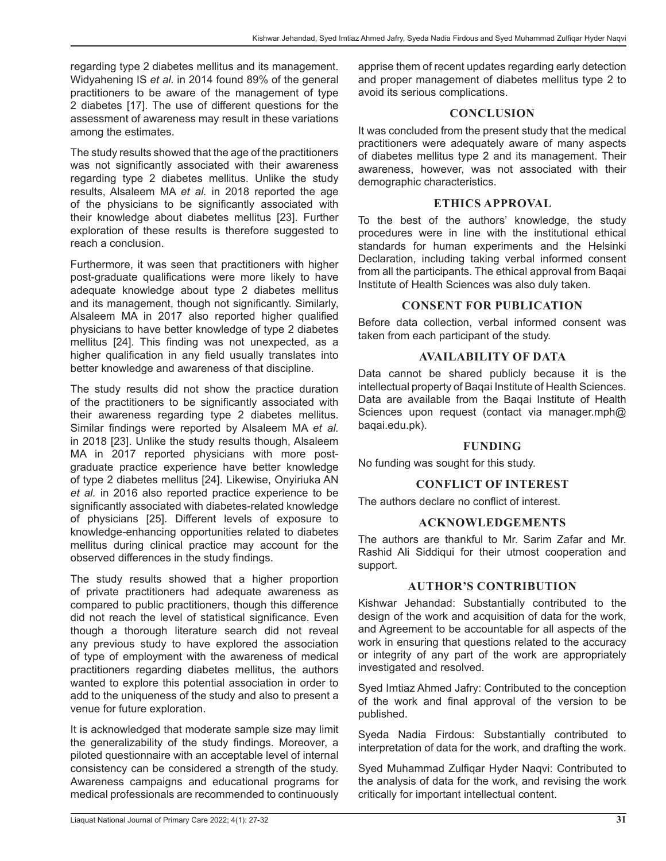regarding type 2 diabetes mellitus and its management. Widyahening IS *et al.* in 2014 found 89% of the general practitioners to be aware of the management of type 2 diabetes [17]. The use of different questions for the assessment of awareness may result in these variations among the estimates.

The study results showed that the age of the practitioners was not significantly associated with their awareness regarding type 2 diabetes mellitus. Unlike the study results, Alsaleem MA *et al.* in 2018 reported the age of the physicians to be significantly associated with their knowledge about diabetes mellitus [23]. Further exploration of these results is therefore suggested to reach a conclusion.

Furthermore, it was seen that practitioners with higher post-graduate qualifications were more likely to have adequate knowledge about type 2 diabetes mellitus and its management, though not significantly. Similarly, Alsaleem MA in 2017 also reported higher qualified physicians to have better knowledge of type 2 diabetes mellitus [24]. This finding was not unexpected, as a higher qualification in any field usually translates into better knowledge and awareness of that discipline.

The study results did not show the practice duration of the practitioners to be significantly associated with their awareness regarding type 2 diabetes mellitus. Similar findings were reported by Alsaleem MA *et al.* in 2018 [23]. Unlike the study results though, Alsaleem MA in 2017 reported physicians with more postgraduate practice experience have better knowledge of type 2 diabetes mellitus [24]. Likewise, Onyiriuka AN *et al.* in 2016 also reported practice experience to be significantly associated with diabetes-related knowledge of physicians [25]. Different levels of exposure to knowledge-enhancing opportunities related to diabetes mellitus during clinical practice may account for the observed differences in the study findings.

The study results showed that a higher proportion of private practitioners had adequate awareness as compared to public practitioners, though this difference did not reach the level of statistical significance. Even though a thorough literature search did not reveal any previous study to have explored the association of type of employment with the awareness of medical practitioners regarding diabetes mellitus, the authors wanted to explore this potential association in order to add to the uniqueness of the study and also to present a venue for future exploration.

It is acknowledged that moderate sample size may limit the generalizability of the study findings. Moreover, a piloted questionnaire with an acceptable level of internal consistency can be considered a strength of the study. Awareness campaigns and educational programs for medical professionals are recommended to continuously

apprise them of recent updates regarding early detection and proper management of diabetes mellitus type 2 to avoid its serious complications.

## **CONCLUSION**

It was concluded from the present study that the medical practitioners were adequately aware of many aspects of diabetes mellitus type 2 and its management. Their awareness, however, was not associated with their demographic characteristics.

# **ETHICS APPROVAL**

To the best of the authors' knowledge, the study procedures were in line with the institutional ethical standards for human experiments and the Helsinki Declaration, including taking verbal informed consent from all the participants. The ethical approval from Baqai Institute of Health Sciences was also duly taken.

# **CONSENT FOR PUBLICATION**

Before data collection, verbal informed consent was taken from each participant of the study.

## **AVAILABILITY OF DATA**

Data cannot be shared publicly because it is the intellectual property of Baqai Institute of Health Sciences. Data are available from the Baqai Institute of Health Sciences upon request (contact via manager.mph@ baqai.edu.pk).

## **FUNDING**

No funding was sought for this study.

## **CONFLICT OF INTEREST**

The authors declare no conflict of interest.

## **ACKNOWLEDGEMENTS**

The authors are thankful to Mr. Sarim Zafar and Mr. Rashid Ali Siddiqui for their utmost cooperation and support.

# **AUTHOR'S CONTRIBUTION**

Kishwar Jehandad: Substantially contributed to the design of the work and acquisition of data for the work, and Agreement to be accountable for all aspects of the work in ensuring that questions related to the accuracy or integrity of any part of the work are appropriately investigated and resolved.

Syed Imtiaz Ahmed Jafry: Contributed to the conception of the work and final approval of the version to be published.

Syeda Nadia Firdous: Substantially contributed to interpretation of data for the work, and drafting the work.

Syed Muhammad Zulfiqar Hyder Naqvi: Contributed to the analysis of data for the work, and revising the work critically for important intellectual content.